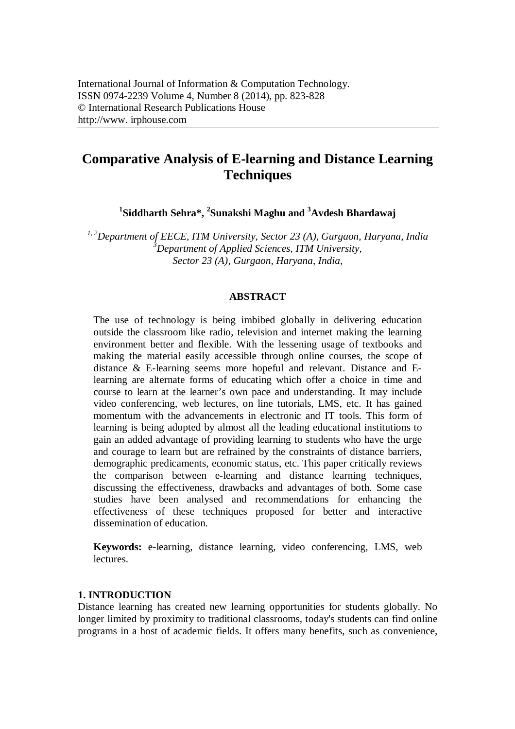# **Comparative Analysis of E-learning and Distance Learning Techniques**

**1 Siddharth Sehra\*, <sup>2</sup> Sunakshi Maghu and <sup>3</sup>Avdesh Bhardawaj**

*1, 2Department of EECE, ITM University, Sector 23 (A), Gurgaon, Haryana, India <sup>3</sup>Department of Applied Sciences, ITM University, Sector 23 (A), Gurgaon, Haryana, India,* 

#### **ABSTRACT**

The use of technology is being imbibed globally in delivering education outside the classroom like radio, television and internet making the learning environment better and flexible. With the lessening usage of textbooks and making the material easily accessible through online courses, the scope of distance & E-learning seems more hopeful and relevant. Distance and Elearning are alternate forms of educating which offer a choice in time and course to learn at the learner's own pace and understanding. It may include video conferencing, web lectures, on line tutorials, LMS, etc. It has gained momentum with the advancements in electronic and IT tools. This form of learning is being adopted by almost all the leading educational institutions to gain an added advantage of providing learning to students who have the urge and courage to learn but are refrained by the constraints of distance barriers, demographic predicaments, economic status, etc. This paper critically reviews the comparison between e-learning and distance learning techniques, discussing the effectiveness, drawbacks and advantages of both. Some case studies have been analysed and recommendations for enhancing the effectiveness of these techniques proposed for better and interactive dissemination of education.

**Keywords:** e-learning, distance learning, video conferencing, LMS, web lectures.

# **1. INTRODUCTION**

Distance learning has created new learning opportunities for students globally. No longer limited by proximity to traditional classrooms, today's students can find online programs in a host of academic fields. It offers many benefits, such as convenience,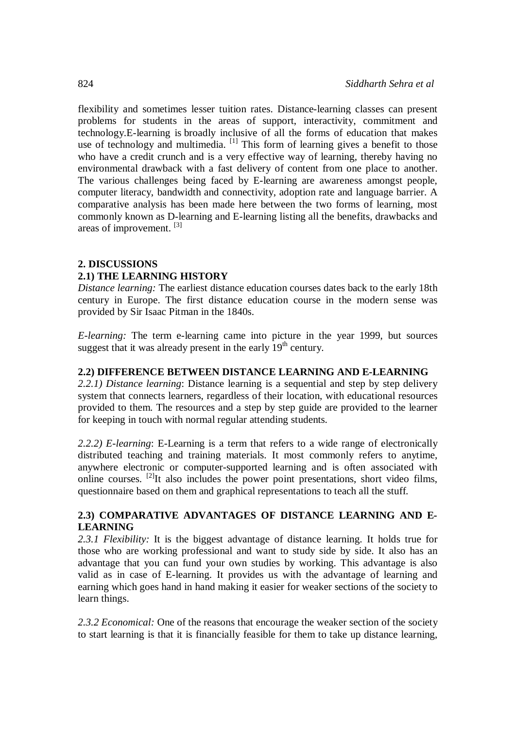flexibility and sometimes lesser tuition rates. Distance-learning classes can present problems for students in the areas of support, interactivity, commitment and technology.E-learning is broadly inclusive of all the forms of education that makes use of technology and multimedia. <sup>[1]</sup> This form of learning gives a benefit to those who have a credit crunch and is a very effective way of learning, thereby having no environmental drawback with a fast delivery of content from one place to another. The various challenges being faced by E-learning are awareness amongst people, computer literacy, bandwidth and connectivity, adoption rate and language barrier. A comparative analysis has been made here between the two forms of learning, most commonly known as D-learning and E-learning listing all the benefits, drawbacks and areas of improvement.<sup>[3]</sup>

# **2. DISCUSSIONS 2.1) THE LEARNING HISTORY**

*Distance learning:* The earliest distance education courses dates back to the early 18th century in Europe. The first distance education course in the modern sense was provided by Sir Isaac Pitman in the 1840s.

*E-learning:* The term e-learning came into picture in the year 1999, but sources suggest that it was already present in the early  $19<sup>th</sup>$  century.

#### **2.2) DIFFERENCE BETWEEN DISTANCE LEARNING AND E-LEARNING**

*2.2.1) Distance learning*: Distance learning is a sequential and step by step delivery system that connects learners, regardless of their location, with educational resources provided to them. The resources and a step by step guide are provided to the learner for keeping in touch with normal regular attending students.

*2.2.2) E-learning*: E-Learning is a term that refers to a wide range of electronically distributed teaching and training materials. It most commonly refers to anytime, anywhere electronic or computer-supported learning and is often associated with online courses.  $^{[2]}$ It also includes the power point presentations, short video films, questionnaire based on them and graphical representations to teach all the stuff.

## **2.3) COMPARATIVE ADVANTAGES OF DISTANCE LEARNING AND E-LEARNING**

*2.3.1 Flexibility:* It is the biggest advantage of distance learning. It holds true for those who are working professional and want to study side by side. It also has an advantage that you can fund your own studies by working. This advantage is also valid as in case of E-learning. It provides us with the advantage of learning and earning which goes hand in hand making it easier for weaker sections of the society to learn things.

2.3.2 *Economical:* One of the reasons that encourage the weaker section of the society to start learning is that it is financially feasible for them to take up distance learning,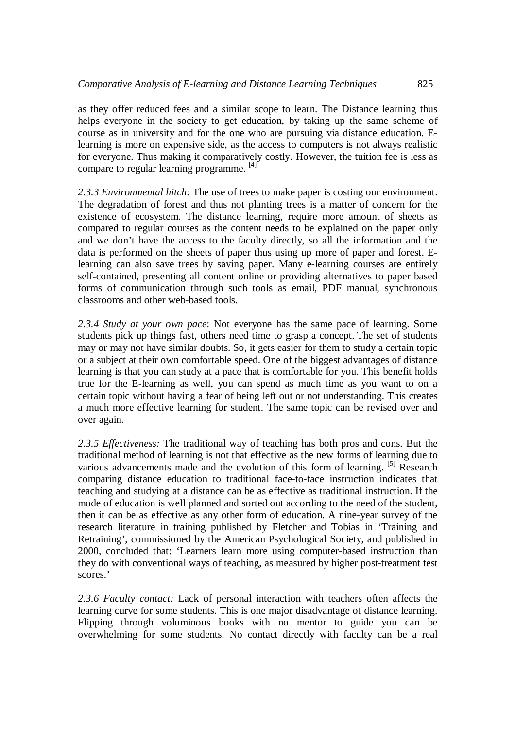as they offer reduced fees and a similar scope to learn. The Distance learning thus helps everyone in the society to get education, by taking up the same scheme of course as in university and for the one who are pursuing via distance education. Elearning is more on expensive side, as the access to computers is not always realistic for everyone. Thus making it comparatively costly. However, the tuition fee is less as compare to regular learning programme. [4]

*2.3.3 Environmental hitch:* The use of trees to make paper is costing our environment. The degradation of forest and thus not planting trees is a matter of concern for the existence of ecosystem. The distance learning, require more amount of sheets as compared to regular courses as the content needs to be explained on the paper only and we don't have the access to the faculty directly, so all the information and the data is performed on the sheets of paper thus using up more of paper and forest. Elearning can also save trees by saving paper. Many e-learning courses are entirely self-contained, presenting all content online or providing alternatives to paper based forms of communication through such tools as email, PDF manual, synchronous classrooms and other web-based tools.

*2.3.4 Study at your own pace*: Not everyone has the same pace of learning. Some students pick up things fast, others need time to grasp a concept. The set of students may or may not have similar doubts. So, it gets easier for them to study a certain topic or a subject at their own comfortable speed. One of the biggest advantages of distance learning is that you can study at a pace that is comfortable for you. This benefit holds true for the E-learning as well, you can spend as much time as you want to on a certain topic without having a fear of being left out or not understanding. This creates a much more effective learning for student. The same topic can be revised over and over again.

*2.3.5 Effectiveness:* The traditional way of teaching has both pros and cons. But the traditional method of learning is not that effective as the new forms of learning due to various advancements made and the evolution of this form of learning. [5] Research comparing distance education to traditional face-to-face instruction indicates that teaching and studying at a distance can be as effective as traditional instruction. If the mode of education is well planned and sorted out according to the need of the student, then it can be as effective as any other form of education. A nine-year survey of the research literature in training published by Fletcher and Tobias in 'Training and Retraining', commissioned by the American Psychological Society, and published in 2000, concluded that: 'Learners learn more using computer-based instruction than they do with conventional ways of teaching, as measured by higher post-treatment test scores.'

*2.3.6 Faculty contact:* Lack of personal interaction with teachers often affects the learning curve for some students. This is one major disadvantage of distance learning. Flipping through voluminous books with no mentor to guide you can be overwhelming for some students. No contact directly with faculty can be a real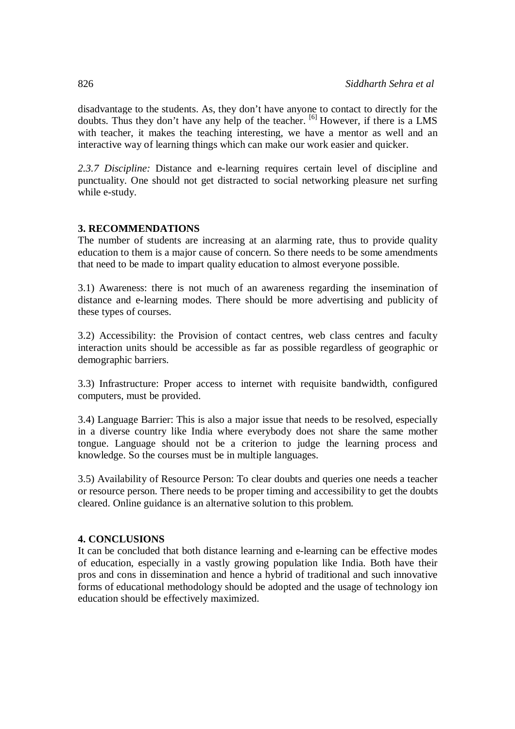disadvantage to the students. As, they don't have anyone to contact to directly for the doubts. Thus they don't have any help of the teacher.  $\frac{16}{1}$  However, if there is a LMS with teacher, it makes the teaching interesting, we have a mentor as well and an interactive way of learning things which can make our work easier and quicker.

*2.3.7 Discipline:* Distance and e-learning requires certain level of discipline and punctuality. One should not get distracted to social networking pleasure net surfing while e-study.

## **3. RECOMMENDATIONS**

The number of students are increasing at an alarming rate, thus to provide quality education to them is a major cause of concern. So there needs to be some amendments that need to be made to impart quality education to almost everyone possible.

3.1) Awareness: there is not much of an awareness regarding the insemination of distance and e-learning modes. There should be more advertising and publicity of these types of courses.

3.2) Accessibility: the Provision of contact centres, web class centres and faculty interaction units should be accessible as far as possible regardless of geographic or demographic barriers.

3.3) Infrastructure: Proper access to internet with requisite bandwidth, configured computers, must be provided.

3.4) Language Barrier: This is also a major issue that needs to be resolved, especially in a diverse country like India where everybody does not share the same mother tongue. Language should not be a criterion to judge the learning process and knowledge. So the courses must be in multiple languages.

3.5) Availability of Resource Person: To clear doubts and queries one needs a teacher or resource person. There needs to be proper timing and accessibility to get the doubts cleared. Online guidance is an alternative solution to this problem.

#### **4. CONCLUSIONS**

It can be concluded that both distance learning and e-learning can be effective modes of education, especially in a vastly growing population like India. Both have their pros and cons in dissemination and hence a hybrid of traditional and such innovative forms of educational methodology should be adopted and the usage of technology ion education should be effectively maximized.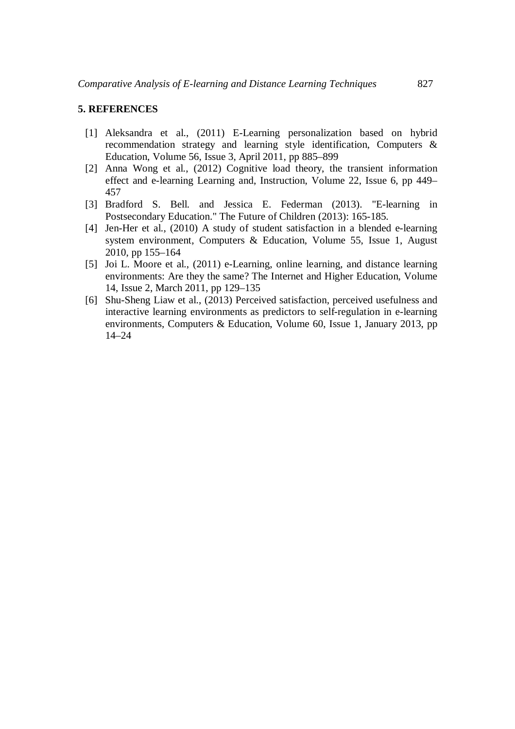#### **5. REFERENCES**

- [1] Aleksandra et al., (2011) E-Learning personalization based on hybrid recommendation strategy and learning style identification, Computers & Education, Volume 56, Issue 3, April 2011, pp 885–899
- [2] Anna Wong et al., (2012) Cognitive load theory, the transient information effect and e-learning Learning and, Instruction, Volume 22, Issue 6, pp 449– 457
- [3] Bradford S. Bell. and Jessica E. Federman (2013). "E-learning in Postsecondary Education." The Future of Children (2013): 165-185.
- [4] Jen-Her et al., (2010) A study of student satisfaction in a blended e-learning system environment, Computers & Education, Volume 55, Issue 1, August 2010, pp 155–164
- [5] Joi L. Moore et al., (2011) e-Learning, online learning, and distance learning environments: Are they the same? The Internet and Higher Education, Volume 14, Issue 2, March 2011, pp 129–135
- [6] Shu-Sheng Liaw et al., (2013) Perceived satisfaction, perceived usefulness and interactive learning environments as predictors to self-regulation in e-learning environments, Computers & Education, Volume 60, Issue 1, January 2013, pp 14–24